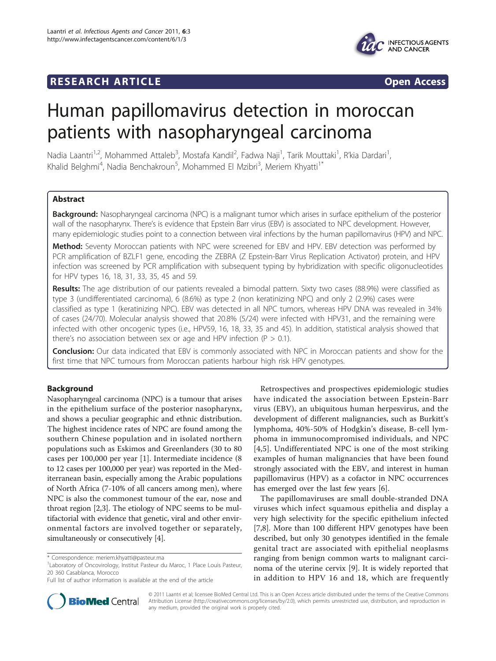## **RESEARCH ARTICLE Example 2018 12:00 Open Access**



# Human papillomavirus detection in moroccan patients with nasopharyngeal carcinoma

Nadia Laantri<sup>1,2</sup>, Mohammed Attaleb<sup>3</sup>, Mostafa Kandil<sup>2</sup>, Fadwa Naji<sup>1</sup>, Tarik Mouttaki<sup>1</sup>, R'kia Dardari<sup>1</sup> , Khalid Belghmi<sup>4</sup>, Nadia Benchakroun<sup>5</sup>, Mohammed El Mzibri<sup>3</sup>, Meriem Khyatti<sup>1\*</sup>

## Abstract

Background: Nasopharyngeal carcinoma (NPC) is a malignant tumor which arises in surface epithelium of the posterior wall of the nasopharynx. There's is evidence that Epstein Barr virus (EBV) is associated to NPC development. However, many epidemiologic studies point to a connection between viral infections by the human papillomavirus (HPV) and NPC.

Method: Seventy Moroccan patients with NPC were screened for EBV and HPV. EBV detection was performed by PCR amplification of BZLF1 gene, encoding the ZEBRA (Z Epstein-Barr Virus Replication Activator) protein, and HPV infection was screened by PCR amplification with subsequent typing by hybridization with specific oligonucleotides for HPV types 16, 18, 31, 33, 35, 45 and 59.

Results: The age distribution of our patients revealed a bimodal pattern. Sixty two cases (88.9%) were classified as type 3 (undifferentiated carcinoma), 6 (8.6%) as type 2 (non keratinizing NPC) and only 2 (2.9%) cases were classified as type 1 (keratinizing NPC). EBV was detected in all NPC tumors, whereas HPV DNA was revealed in 34% of cases (24/70). Molecular analysis showed that 20.8% (5/24) were infected with HPV31, and the remaining were infected with other oncogenic types (i.e., HPV59, 16, 18, 33, 35 and 45). In addition, statistical analysis showed that there's no association between sex or age and HPV infection ( $P > 0.1$ ).

Conclusion: Our data indicated that EBV is commonly associated with NPC in Moroccan patients and show for the first time that NPC tumours from Moroccan patients harbour high risk HPV genotypes.

## Background

Nasopharyngeal carcinoma (NPC) is a tumour that arises in the epithelium surface of the posterior nasopharynx, and shows a peculiar geographic and ethnic distribution. The highest incidence rates of NPC are found among the southern Chinese population and in isolated northern populations such as Eskimos and Greenlanders (30 to 80 cases per 100,000 per year [\[1](#page-5-0)]. Intermediate incidence (8 to 12 cases per 100,000 per year) was reported in the Mediterranean basin, especially among the Arabic populations of North Africa (7-10% of all cancers among men), where NPC is also the commonest tumour of the ear, nose and throat region [\[2,3](#page-5-0)]. The etiology of NPC seems to be multifactorial with evidence that genetic, viral and other environmental factors are involved together or separately, simultaneously or consecutively [[4](#page-5-0)].



The papillomaviruses are small double-stranded DNA viruses which infect squamous epithelia and display a very high selectivity for the specific epithelium infected [[7,8\]](#page-5-0). More than 100 different HPV genotypes have been described, but only 30 genotypes identified in the female genital tract are associated with epithelial neoplasms ranging from benign common warts to malignant carcinoma of the uterine cervix [[9\]](#page-5-0). It is widely reported that in addition to HPV 16 and 18, which are frequently



© 2011 Laantri et al; licensee BioMed Central Ltd. This is an Open Access article distributed under the terms of the Creative Commons Attribution License [\(http://creativecommons.org/licenses/by/2.0](http://creativecommons.org/licenses/by/2.0)), which permits unrestricted use, distribution, and reproduction in any medium, provided the original work is properly cited.

<sup>\*</sup> Correspondence: [meriem.khyatti@pasteur.ma](mailto:meriem.khyatti@pasteur.ma)

<sup>&</sup>lt;sup>1</sup> Laboratory of Oncovirology, Institut Pasteur du Maroc, 1 Place Louis Pasteur, 20 360 Casablanca, Morocco

Full list of author information is available at the end of the article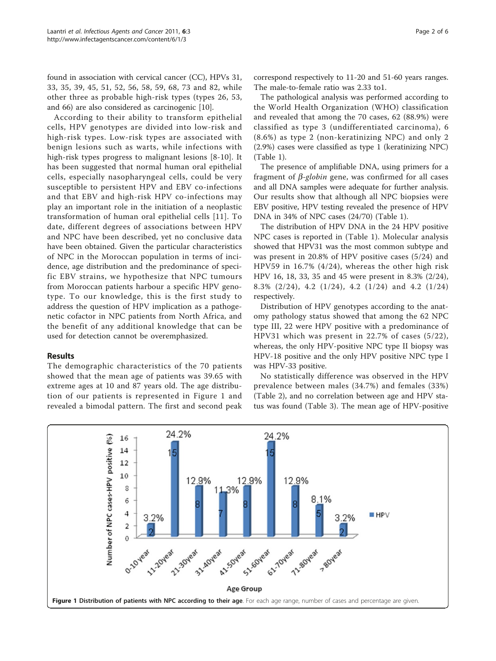found in association with cervical cancer (CC), HPVs 31, 33, 35, 39, 45, 51, 52, 56, 58, 59, 68, 73 and 82, while other three as probable high-risk types (types 26, 53, and 66) are also considered as carcinogenic [[10\]](#page-5-0).

According to their ability to transform epithelial cells, HPV genotypes are divided into low-risk and high-risk types. Low-risk types are associated with benign lesions such as warts, while infections with high-risk types progress to malignant lesions [[8-10\]](#page-5-0). It has been suggested that normal human oral epithelial cells, especially nasopharyngeal cells, could be very susceptible to persistent HPV and EBV co-infections and that EBV and high-risk HPV co-infections may play an important role in the initiation of a neoplastic transformation of human oral epithelial cells [[11](#page-5-0)]. To date, different degrees of associations between HPV and NPC have been described, yet no conclusive data have been obtained. Given the particular characteristics of NPC in the Moroccan population in terms of incidence, age distribution and the predominance of specific EBV strains, we hypothesize that NPC tumours from Moroccan patients harbour a specific HPV genotype. To our knowledge, this is the first study to address the question of HPV implication as a pathogenetic cofactor in NPC patients from North Africa, and the benefit of any additional knowledge that can be used for detection cannot be overemphasized.

## Results

The demographic characteristics of the 70 patients showed that the mean age of patients was 39.65 with extreme ages at 10 and 87 years old. The age distribution of our patients is represented in Figure 1 and revealed a bimodal pattern. The first and second peak correspond respectively to 11-20 and 51-60 years ranges. The male-to-female ratio was 2.33 to1.

The pathological analysis was performed according to the World Health Organization (WHO) classification and revealed that among the 70 cases, 62 (88.9%) were classified as type 3 (undifferentiated carcinoma), 6 (8.6%) as type 2 (non-keratinizing NPC) and only 2 (2.9%) cases were classified as type 1 (keratinizing NPC) (Table [1\)](#page-2-0).

The presence of amplifiable DNA, using primers for a fragment of  $\beta$ -globin gene, was confirmed for all cases and all DNA samples were adequate for further analysis. Our results show that although all NPC biopsies were EBV positive, HPV testing revealed the presence of HPV DNA in 34% of NPC cases (24/70) (Table [1](#page-2-0)).

The distribution of HPV DNA in the 24 HPV positive NPC cases is reported in (Table [1\)](#page-2-0). Molecular analysis showed that HPV31 was the most common subtype and was present in 20.8% of HPV positive cases (5/24) and HPV59 in 16.7% (4/24), whereas the other high risk HPV 16, 18, 33, 35 and 45 were present in 8.3% (2/24), 8.3% (2/24), 4.2 (1/24), 4.2 (1/24) and 4.2 (1/24) respectively.

Distribution of HPV genotypes according to the anatomy pathology status showed that among the 62 NPC type III, 22 were HPV positive with a predominance of HPV31 which was present in 22.7% of cases (5/22), whereas, the only HPV-positive NPC type II biopsy was HPV-18 positive and the only HPV positive NPC type I was HPV-33 positive.

No statistically difference was observed in the HPV prevalence between males (34.7%) and females (33%) (Table [2](#page-2-0)), and no correlation between age and HPV status was found (Table [3\)](#page-2-0). The mean age of HPV-positive

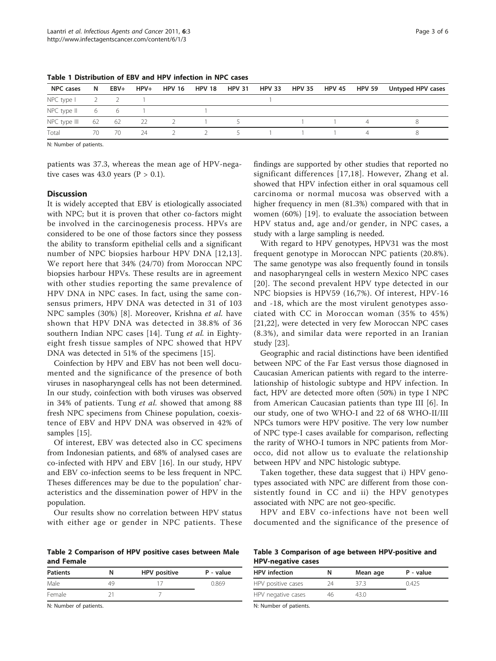| <b>NPC cases</b>         | N  | EBV+     | $HPV+$ | <b>HPV 16</b> | <b>HPV 18</b> | <b>HPV 31</b> | <b>HPV 33</b> | <b>HPV 35</b> | <b>HPV 45</b> | <b>HPV 59</b> | Untyped HPV cases |
|--------------------------|----|----------|--------|---------------|---------------|---------------|---------------|---------------|---------------|---------------|-------------------|
| NPC type I               |    | $2 \t 2$ |        |               |               |               |               |               |               |               |                   |
| NPC type $\parallel$ 6 6 |    |          |        |               |               |               |               |               |               |               |                   |
| NPC type III             | 62 | 62       | $22$   |               |               |               |               |               |               |               |                   |
| Total                    | 70 | 70       | 24     |               |               |               |               |               |               |               |                   |

<span id="page-2-0"></span>Table 1 Distribution of EBV and HPV infection in NPC cases

N: Number of patients.

patients was 37.3, whereas the mean age of HPV-negative cases was 43.0 years ( $P > 0.1$ ).

#### **Discussion**

It is widely accepted that EBV is etiologically associated with NPC; but it is proven that other co-factors might be involved in the carcinogenesis process. HPVs are considered to be one of those factors since they possess the ability to transform epithelial cells and a significant number of NPC biopsies harbour HPV DNA [[12](#page-5-0),[13\]](#page-5-0). We report here that 34% (24/70) from Moroccan NPC biopsies harbour HPVs. These results are in agreement with other studies reporting the same prevalence of HPV DNA in NPC cases. In fact, using the same consensus primers, HPV DNA was detected in 31 of 103 NPC samples (30%) [[8](#page-5-0)]. Moreover, Krishna et al. have shown that HPV DNA was detected in 38.8% of 36 southern Indian NPC cases [\[14](#page-5-0)]. Tung et al. in Eightyeight fresh tissue samples of NPC showed that HPV DNA was detected in 51% of the specimens [[15](#page-5-0)].

Coinfection by HPV and EBV has not been well documented and the significance of the presence of both viruses in nasopharyngeal cells has not been determined. In our study, coinfection with both viruses was observed in 34% of patients. Tung et al. showed that among 88 fresh NPC specimens from Chinese population, coexistence of EBV and HPV DNA was observed in 42% of samples [\[15](#page-5-0)].

Of interest, EBV was detected also in CC specimens from Indonesian patients, and 68% of analysed cases are co-infected with HPV and EBV [\[16](#page-5-0)]. In our study, HPV and EBV co-infection seems to be less frequent in NPC. Theses differences may be due to the population' characteristics and the dissemination power of HPV in the population.

Our results show no correlation between HPV status with either age or gender in NPC patients. These

Table 2 Comparison of HPV positive cases between Male and Female

| <b>Patients</b> | N  | <b>HPV</b> positive | P - value |
|-----------------|----|---------------------|-----------|
| Male            | 49 |                     | 0.869     |
| Female          |    |                     |           |

N: Number of patients.

findings are supported by other studies that reported no significant differences [[17,18\]](#page-5-0). However, Zhang et al. showed that HPV infection either in oral squamous cell carcinoma or normal mucosa was observed with a higher frequency in men (81.3%) compared with that in women (60%) [[19](#page-5-0)]. to evaluate the association between HPV status and, age and/or gender, in NPC cases, a study with a large sampling is needed.

With regard to HPV genotypes, HPV31 was the most frequent genotype in Moroccan NPC patients (20.8%). The same genotype was also frequently found in tonsils and nasopharyngeal cells in western Mexico NPC cases [[20\]](#page-5-0). The second prevalent HPV type detected in our NPC biopsies is HPV59 (16,7%). Of interest, HPV-16 and -18, which are the most virulent genotypes associated with CC in Moroccan woman (35% to 45%) [[21,22\]](#page-5-0), were detected in very few Moroccan NPC cases (8.3%), and similar data were reported in an Iranian study [[23\]](#page-5-0).

Geographic and racial distinctions have been identified between NPC of the Far East versus those diagnosed in Caucasian American patients with regard to the interrelationship of histologic subtype and HPV infection. In fact, HPV are detected more often (50%) in type I NPC from American Caucasian patients than type III [[6\]](#page-5-0). In our study, one of two WHO-I and 22 of 68 WHO-II/III NPCs tumors were HPV positive. The very low number of NPC type-I cases available for comparison, reflecting the rarity of WHO-I tumors in NPC patients from Morocco, did not allow us to evaluate the relationship between HPV and NPC histologic subtype.

Taken together, these data suggest that i) HPV genotypes associated with NPC are different from those consistently found in CC and ii) the HPV genotypes associated with NPC are not geo-specific.

HPV and EBV co-infections have not been well documented and the significance of the presence of

Table 3 Comparison of age between HPV-positive and HPV-negative cases

| <b>HPV</b> infection<br>P - value<br>Mean age<br>N |                    |  |      |  |
|----------------------------------------------------|--------------------|--|------|--|
|                                                    |                    |  |      |  |
| 373<br>)Δ                                          | HPV positive cases |  | 0425 |  |
| HPV negative cases<br>430<br>46                    |                    |  |      |  |

N: Number of patients.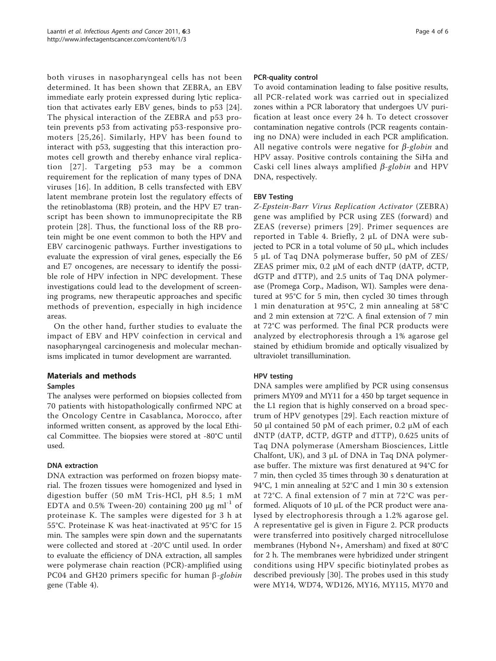both viruses in nasopharyngeal cells has not been determined. It has been shown that ZEBRA, an EBV immediate early protein expressed during lytic replication that activates early EBV genes, binds to p53 [[24](#page-5-0)]. The physical interaction of the ZEBRA and p53 protein prevents p53 from activating p53-responsive promoters [[25](#page-5-0),[26](#page-5-0)]. Similarly, HPV has been found to interact with p53, suggesting that this interaction promotes cell growth and thereby enhance viral replication [[27](#page-5-0)]. Targeting p53 may be a common requirement for the replication of many types of DNA viruses [[16](#page-5-0)]. In addition, B cells transfected with EBV latent membrane protein lost the regulatory effects of the retinoblastoma (RB) protein, and the HPV E7 transcript has been shown to immunoprecipitate the RB protein [[28](#page-5-0)]. Thus, the functional loss of the RB protein might be one event common to both the HPV and EBV carcinogenic pathways. Further investigations to evaluate the expression of viral genes, especially the E6 and E7 oncogenes, are necessary to identify the possible role of HPV infection in NPC development. These investigations could lead to the development of screening programs, new therapeutic approaches and specific methods of prevention, especially in high incidence areas.

On the other hand, further studies to evaluate the impact of EBV and HPV coinfection in cervical and nasopharyngeal carcinogenesis and molecular mechanisms implicated in tumor development are warranted.

## Materials and methods

## Samples

The analyses were performed on biopsies collected from 70 patients with histopathologically confirmed NPC at the Oncology Centre in Casablanca, Morocco, after informed written consent, as approved by the local Ethical Committee. The biopsies were stored at -80°C until used.

## DNA extraction

DNA extraction was performed on frozen biopsy material. The frozen tissues were homogenized and lysed in digestion buffer (50 mM Tris-HCl, pH 8.5; 1 mM EDTA and 0.5% Tween-20) containing 200  $\mu$ g ml<sup>-1</sup> of proteinase K. The samples were digested for 3 h at 55°C. Proteinase K was heat-inactivated at 95°C for 15 min. The samples were spin down and the supernatants were collected and stored at -20°C until used. In order to evaluate the efficiency of DNA extraction, all samples were polymerase chain reaction (PCR)-amplified using PC04 and GH20 primers specific for human  $\beta$ -globin gene (Table [4\)](#page-4-0).

#### PCR-quality control

To avoid contamination leading to false positive results, all PCR-related work was carried out in specialized zones within a PCR laboratory that undergoes UV purification at least once every 24 h. To detect crossover contamination negative controls (PCR reagents containing no DNA) were included in each PCR amplification. All negative controls were negative for  $\beta$ -globin and HPV assay. Positive controls containing the SiHa and Caski cell lines always amplified  $\beta$ -globin and HPV DNA, respectively.

## EBV Testing

Z-Epstein-Barr Virus Replication Activator (ZEBRA) gene was amplified by PCR using ZES (forward) and ZEAS (reverse) primers [[29\]](#page-5-0). Primer sequences are reported in Table [4.](#page-2-0) Briefly, 2 μL of DNA were subjected to PCR in a total volume of 50 μL, which includes 5 μL of Taq DNA polymerase buffer, 50 pM of ZES/ ZEAS primer mix, 0.2 μM of each dNTP (dATP, dCTP, dGTP and dTTP), and 2.5 units of Taq DNA polymerase (Promega Corp., Madison, WI). Samples were denatured at 95°C for 5 min, then cycled 30 times through 1 min denaturation at 95°C, 2 min annealing at 58°C and 2 min extension at 72°C. A final extension of 7 min at 72°C was performed. The final PCR products were analyzed by electrophoresis through a 1% agarose gel stained by ethidium bromide and optically visualized by ultraviolet transillumination.

## HPV testing

DNA samples were amplified by PCR using consensus primers MY09 and MY11 for a 450 bp target sequence in the L1 region that is highly conserved on a broad spectrum of HPV genotypes [[29](#page-5-0)]. Each reaction mixture of 50 μl contained 50 pM of each primer, 0.2 μM of each dNTP (dATP, dCTP, dGTP and dTTP), 0.625 units of Taq DNA polymerase (Amersham Biosciences, Little Chalfont, UK), and 3 μL of DNA in Taq DNA polymerase buffer. The mixture was first denatured at 94°C for 7 min, then cycled 35 times through 30 s denaturation at 94°C, 1 min annealing at 52°C and 1 min 30 s extension at 72°C. A final extension of 7 min at 72°C was performed. Aliquots of 10 μL of the PCR product were analysed by electrophoresis through a 1.2% agarose gel. A representative gel is given in Figure [2](#page-4-0). PCR products were transferred into positively charged nitrocellulose membranes (Hybond N+, Amersham) and fixed at 80°C for 2 h. The membranes were hybridized under stringent conditions using HPV specific biotinylated probes as described previously [\[30](#page-5-0)]. The probes used in this study were MY14, WD74, WD126, MY16, MY115, MY70 and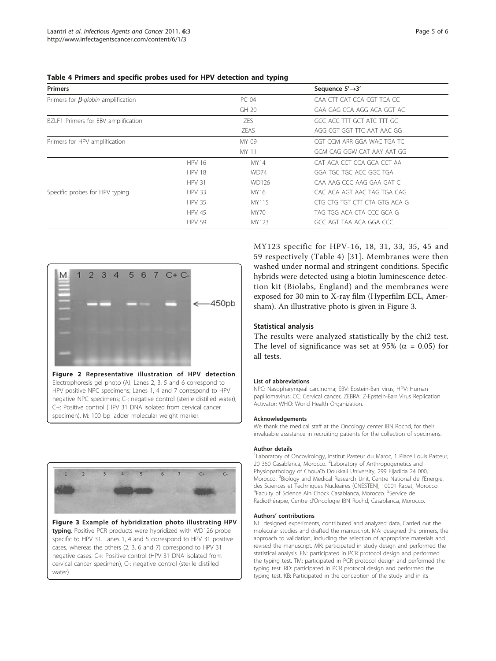<span id="page-4-0"></span>Table 4 Primers and specific probes used for HPV detection and typing

| <b>Primers</b>                            |               |             | Sequence $5' \rightarrow 3'$  |
|-------------------------------------------|---------------|-------------|-------------------------------|
| Primers for $\beta$ -globin amplification |               | PC 04       | CAA CTT CAT CCA CGT TCA CC    |
|                                           |               | $GH$ 20     | GAA GAG CCA AGG ACA GGT AC    |
| BZLF1 Primers for EBV amplification       |               | <b>ZES</b>  | GCC ACC TTT GCT ATC TTT GC    |
|                                           |               | <b>ZEAS</b> | AGG CGT GGT TTC AAT AAC GG    |
| Primers for HPV amplification             |               | MY 09       | CGT CCM ARR GGA WAC TGA TC    |
|                                           |               | MY 11       | GCM CAG GGW CAT AAY AAT GG    |
|                                           | <b>HPV 16</b> | MY14        | CAT ACA CCT CCA GCA CCT AA    |
|                                           | <b>HPV 18</b> | WD74        | GGA TGC TGC ACC GGC TGA       |
|                                           | <b>HPV 31</b> | WD126       | CAA AAG CCC AAG GAA GAT C     |
| Specific probes for HPV typing            | <b>HPV 33</b> | MY16        | CAC ACA AGT AAC TAG TGA CAG   |
|                                           | <b>HPV 35</b> | MY115       | CTG CTG TGT CTT CTA GTG ACA G |
|                                           | <b>HPV 45</b> | MY70        | TAG TGG ACA CTA CCC GCA G     |
|                                           | <b>HPV 59</b> | MY123       | GCC AGT TAA ACA GGA CCC       |



HPV positive NPC specimens; Lanes 1, 4 and 7 correspond to HPV negative NPC specimens; C-: negative control (sterile distilled water); C+: Positive control (HPV 31 DNA isolated from cervical cancer specimen). M: 100 bp ladder molecular weight marker.

Figure 3 Example of hybridization photo illustrating HPV typing. Positive PCR products were hybridized with WD126 probe specific to HPV 31. Lanes 1, 4 and 5 correspond to HPV 31 positive cases, whereas the others (2, 3, 6 and 7) correspond to HPV 31 negative cases. C+: Positive control (HPV 31 DNA isolated from cervical cancer specimen), C-: negative control (sterile distilled water).

MY123 specific for HPV-16, 18, 31, 33, 35, 45 and 59 respectively (Table 4) [[31](#page-5-0)]. Membranes were then washed under normal and stringent conditions. Specific hybrids were detected using a biotin luminescence detection kit (Biolabs, England) and the membranes were exposed for 30 min to X-ray film (Hyperfilm ECL, Amersham). An illustrative photo is given in Figure 3.

## Statistical analysis

The results were analyzed statistically by the chi2 test. The level of significance was set at 95% ( $\alpha$  = 0.05) for all tests.

#### List of abbreviations

NPC: Nasopharyngeal carcinoma; EBV: Epstein-Barr virus; HPV: Human papillomavirus; CC: Cervical cancer; ZEBRA: Z-Epstein-Barr Virus Replication Activator; WHO: World Health Organization.

#### Acknowledgements

We thank the medical staff at the Oncology center IBN Rochd, for their invaluable assistance in recruiting patients for the collection of specimens.

#### Author details

<sup>1</sup> Laboratory of Oncovirology, Institut Pasteur du Maroc, 1 Place Louis Pasteur 20 360 Casablanca, Morocco. <sup>2</sup>Laboratory of Anthropogenetics and Physiopathology of Chouaîb Doukkali University, 299 Eljadida 24 000, Morocco. <sup>3</sup>Biology and Medical Research Unit, Centre National de l'Energie des Sciences et Techniques Nucléaires (CNESTEN), 10001 Rabat, Morocco. <sup>4</sup>Faculty of Science Ain Chock Casablanca, Morocco. <sup>5</sup>Service de Radiothérapie, Centre d'Oncologie IBN Rochd, Casablanca, Morocco.

#### Authors' contributions

NL: designed experiments, contributed and analyzed data, Carried out the molecular studies and drafted the manuscript. MA: designed the primers, the approach to validation, including the selection of appropriate materials and revised the manuscript. MK: participated in study design and performed the statistical analysis. FN: participated in PCR protocol design and performed the typing test. TM: participated in PCR protocol design and performed the typing test. RD: participated in PCR protocol design and performed the typing test. KB: Participated in the conception of the study and in its